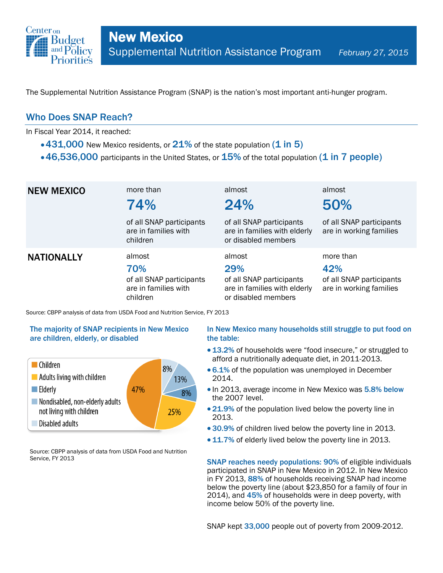

The Supplemental Nutrition Assistance Program (SNAP) is the nation's most important anti-hunger program.

## Who Does SNAP Reach?

In Fiscal Year 2014, it reached:

- $\cdot$  431,000 New Mexico residents, or 21% of the state population (1 in 5)
- $\cdot$  46,536,000 participants in the United States, or  $15\%$  of the total population (1 in 7 people)

| <b>NEW MEXICO</b> | more than<br>74%<br>of all SNAP participants<br>are in families with<br>children | almost<br>24%<br>of all SNAP participants<br>are in families with elderly<br>or disabled members | almost<br>50%<br>of all SNAP participants<br>are in working families    |
|-------------------|----------------------------------------------------------------------------------|--------------------------------------------------------------------------------------------------|-------------------------------------------------------------------------|
| <b>NATIONALLY</b> | almost<br>70%<br>of all SNAP participants<br>are in families with<br>children    | almost<br>29%<br>of all SNAP participants<br>are in families with elderly<br>or disabled members | more than<br>42%<br>of all SNAP participants<br>are in working families |

Source: CBPP analysis of data from USDA Food and Nutrition Service, FY 2013

### The majority of SNAP recipients in New Mexico are children, elderly, or disabled



Source: CBPP analysis of data from USDA Food and Nutrition Service, FY 2013

### In New Mexico many households still struggle to put food on the table:

- 13.2% of households were "food insecure," or struggled to afford a nutritionally adequate diet, in 2011-2013.
- 6.1% of the population was unemployed in December 2014.
- In 2013, average income in New Mexico was 5.8% below the 2007 level.
- 21.9% of the population lived below the poverty line in 2013.
- 30.9% of children lived below the poverty line in 2013.
- 11.7% of elderly lived below the poverty line in 2013.

SNAP reaches needy populations: 90% of eligible individuals participated in SNAP in New Mexico in 2012. In New Mexico in FY 2013, 88% of households receiving SNAP had income below the poverty line (about \$23,850 for a family of four in 2014), and 45% of households were in deep poverty, with income below 50% of the poverty line.

SNAP kept 33,000 people out of poverty from 2009-2012.